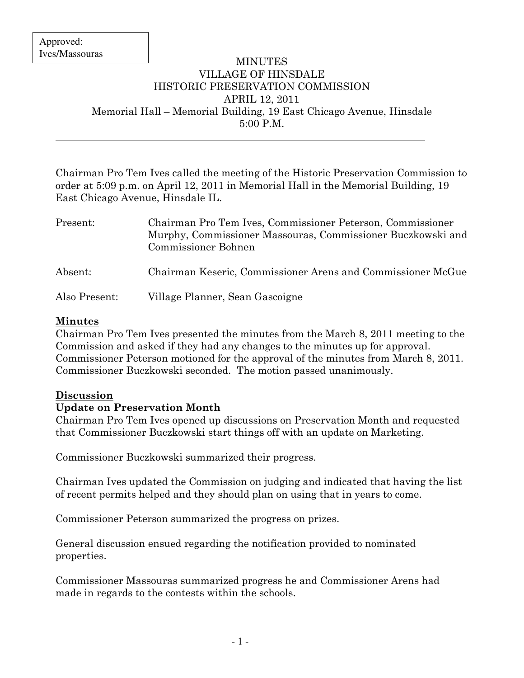$\overline{a}$ 

### MINUTES VILLAGE OF HINSDALE HISTORIC PRESERVATION COMMISSION APRIL 12, 2011 Memorial Hall – Memorial Building, 19 East Chicago Avenue, Hinsdale 5:00 P.M.

Chairman Pro Tem Ives called the meeting of the Historic Preservation Commission to order at 5:09 p.m. on April 12, 2011 in Memorial Hall in the Memorial Building, 19 East Chicago Avenue, Hinsdale IL.

| Present:      | Chairman Pro Tem Ives, Commissioner Peterson, Commissioner<br>Murphy, Commissioner Massouras, Commissioner Buczkowski and<br>Commissioner Bohnen |
|---------------|--------------------------------------------------------------------------------------------------------------------------------------------------|
| Absent:       | Chairman Keseric, Commissioner Arens and Commissioner McGue                                                                                      |
| Also Present: | Village Planner, Sean Gascoigne                                                                                                                  |

# Minutes

Chairman Pro Tem Ives presented the minutes from the March 8, 2011 meeting to the Commission and asked if they had any changes to the minutes up for approval. Commissioner Peterson motioned for the approval of the minutes from March 8, 2011. Commissioner Buczkowski seconded. The motion passed unanimously.

## Discussion

# Update on Preservation Month

Chairman Pro Tem Ives opened up discussions on Preservation Month and requested that Commissioner Buczkowski start things off with an update on Marketing.

Commissioner Buczkowski summarized their progress.

Chairman Ives updated the Commission on judging and indicated that having the list of recent permits helped and they should plan on using that in years to come.

Commissioner Peterson summarized the progress on prizes.

General discussion ensued regarding the notification provided to nominated properties.

Commissioner Massouras summarized progress he and Commissioner Arens had made in regards to the contests within the schools.